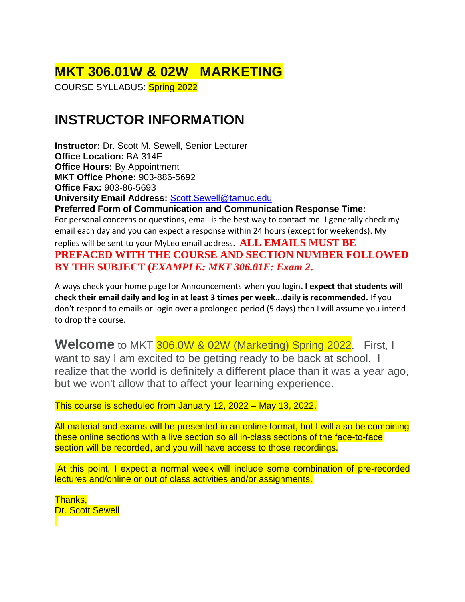# **MKT 306.01W & 02W MARKETING**

COURSE SYLLABUS: Spring 2022

# **INSTRUCTOR INFORMATION**

**Instructor:** Dr. Scott M. Sewell, Senior Lecturer **Office Location:** BA 314E **Office Hours:** By Appointment **MKT Office Phone:** 903-886-5692 **Office Fax:** 903-86-5693 **University Email Address:** [Scott.Sewell@tamuc.edu](mailto:Scott.Sewell@tamuc.edu) **Preferred Form of Communication and Communication Response Time:** For personal concerns or questions, email is the best way to contact me. I generally check my email each day and you can expect a response within 24 hours (except for weekends). My replies will be sent to your MyLeo email address. **ALL EMAILS MUST BE PREFACED WITH THE COURSE AND SECTION NUMBER FOLLOWED BY THE SUBJECT (***EXAMPLE: MKT 306.01E: Exam 2***.**

Always check your home page for Announcements when you login**. I expect that students will check their email daily and log in at least 3 times per week...daily is recommended.** If you don't respond to emails or login over a prolonged period (5 days) then I will assume you intend to drop the course.

**Welcome** to MKT 306.0W & 02W (Marketing) Spring 2022. First, I want to say I am excited to be getting ready to be back at school. I realize that the world is definitely a different place than it was a year ago, but we won't allow that to affect your learning experience.

This course is scheduled from January 12, 2022 – May 13, 2022.

All material and exams will be presented in an online format, but I will also be combining these online sections with a live section so all in-class sections of the face-to-face section will be recorded, and you will have access to those recordings.

At this point, I expect a normal week will include some combination of pre-recorded lectures and/online or out of class activities and/or assignments.

Thanks, Dr. Scott Sewell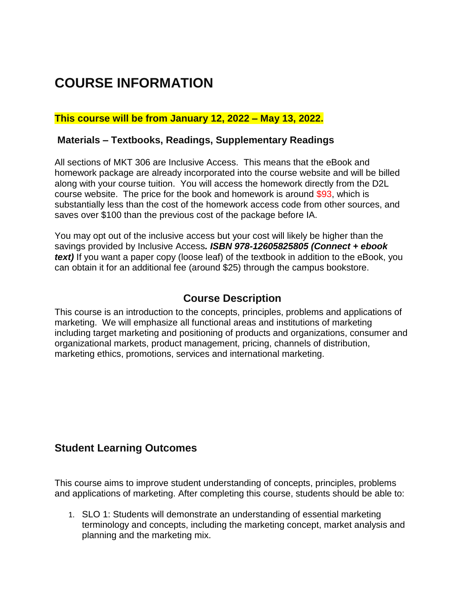# **COURSE INFORMATION**

### **This course will be from January 12, 2022 – May 13, 2022.**

#### **Materials – Textbooks, Readings, Supplementary Readings**

All sections of MKT 306 are Inclusive Access. This means that the eBook and homework package are already incorporated into the course website and will be billed along with your course tuition. You will access the homework directly from the D2L course website. The price for the book and homework is around \$93, which is substantially less than the cost of the homework access code from other sources, and saves over \$100 than the previous cost of the package before IA.

You may opt out of the inclusive access but your cost will likely be higher than the savings provided by Inclusive Access*. ISBN 978-12605825805 (Connect + ebook text)* If you want a paper copy (loose leaf) of the textbook in addition to the eBook, you can obtain it for an additional fee (around \$25) through the campus bookstore.

### **Course Description**

This course is an introduction to the concepts, principles, problems and applications of marketing. We will emphasize all functional areas and institutions of marketing including target marketing and positioning of products and organizations, consumer and organizational markets, product management, pricing, channels of distribution, marketing ethics, promotions, services and international marketing.

### **Student Learning Outcomes**

This course aims to improve student understanding of concepts, principles, problems and applications of marketing. After completing this course, students should be able to:

1. SLO 1: Students will demonstrate an understanding of essential marketing terminology and concepts, including the marketing concept, market analysis and planning and the marketing mix.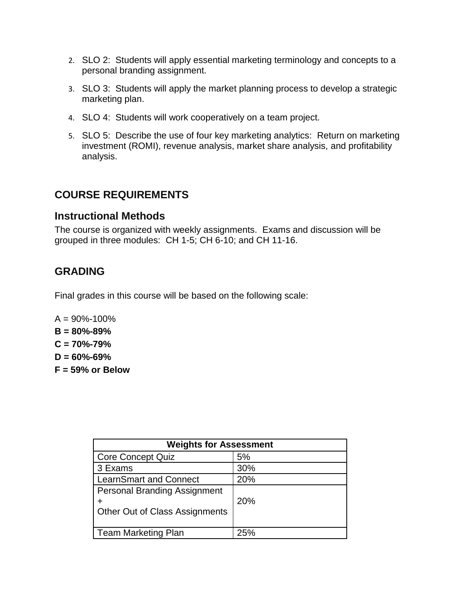- 2. SLO 2: Students will apply essential marketing terminology and concepts to a personal branding assignment.
- 3. SLO 3: Students will apply the market planning process to develop a strategic marketing plan.
- 4. SLO 4: Students will work cooperatively on a team project.
- 5. SLO 5: Describe the use of four key marketing analytics: Return on marketing investment (ROMI), revenue analysis, market share analysis, and profitability analysis.

## **COURSE REQUIREMENTS**

### **Instructional Methods**

The course is organized with weekly assignments. Exams and discussion will be grouped in three modules: CH 1-5; CH 6-10; and CH 11-16.

# **GRADING**

Final grades in this course will be based on the following scale:

- $A = 90\% 100\%$ **B = 80%-89% C = 70%-79%**
- **D = 60%-69%**
- **F = 59% or Below**

| <b>Weights for Assessment</b>                                         |     |  |
|-----------------------------------------------------------------------|-----|--|
| <b>Core Concept Quiz</b>                                              | 5%  |  |
| 3 Exams                                                               | 30% |  |
| <b>LearnSmart and Connect</b>                                         | 20% |  |
| <b>Personal Branding Assignment</b><br>Other Out of Class Assignments | 20% |  |
| <b>Team Marketing Plan</b>                                            | 25% |  |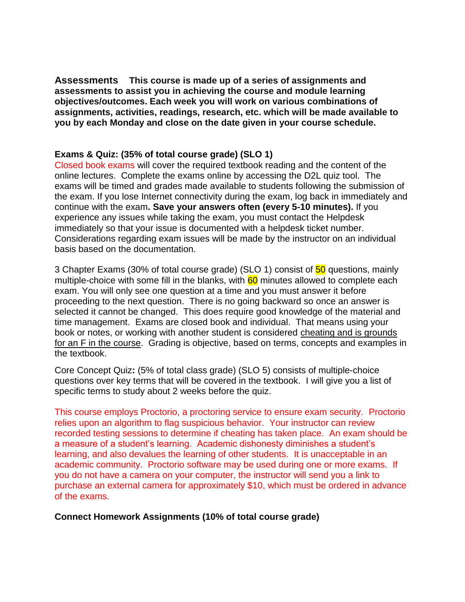**Assessments This course is made up of a series of assignments and assessments to assist you in achieving the course and module learning objectives/outcomes. Each week you will work on various combinations of assignments, activities, readings, research, etc. which will be made available to you by each Monday and close on the date given in your course schedule.**

#### **Exams & Quiz: (35% of total course grade) (SLO 1)**

Closed book exams will cover the required textbook reading and the content of the online lectures. Complete the exams online by accessing the D2L quiz tool. The exams will be timed and grades made available to students following the submission of the exam. If you lose Internet connectivity during the exam, log back in immediately and continue with the exam**. Save your answers often (every 5-10 minutes).** If you experience any issues while taking the exam, you must contact the Helpdesk immediately so that your issue is documented with a helpdesk ticket number. Considerations regarding exam issues will be made by the instructor on an individual basis based on the documentation.

3 Chapter Exams (30% of total course grade) (SLO 1) consist of 50 questions, mainly multiple-choice with some fill in the blanks, with  $60$  minutes allowed to complete each exam. You will only see one question at a time and you must answer it before proceeding to the next question. There is no going backward so once an answer is selected it cannot be changed. This does require good knowledge of the material and time management. Exams are closed book and individual. That means using your book or notes, or working with another student is considered cheating and is grounds for an F in the course. Grading is objective, based on terms, concepts and examples in the textbook.

Core Concept Quiz**:** (5% of total class grade) (SLO 5) consists of multiple-choice questions over key terms that will be covered in the textbook. I will give you a list of specific terms to study about 2 weeks before the quiz.

This course employs Proctorio, a proctoring service to ensure exam security. Proctorio relies upon an algorithm to flag suspicious behavior. Your instructor can review recorded testing sessions to determine if cheating has taken place. An exam should be a measure of a student's learning. Academic dishonesty diminishes a student's learning, and also devalues the learning of other students. It is unacceptable in an academic community. Proctorio software may be used during one or more exams. If you do not have a camera on your computer, the instructor will send you a link to purchase an external camera for approximately \$10, which must be ordered in advance of the exams.

#### **Connect Homework Assignments (10% of total course grade)**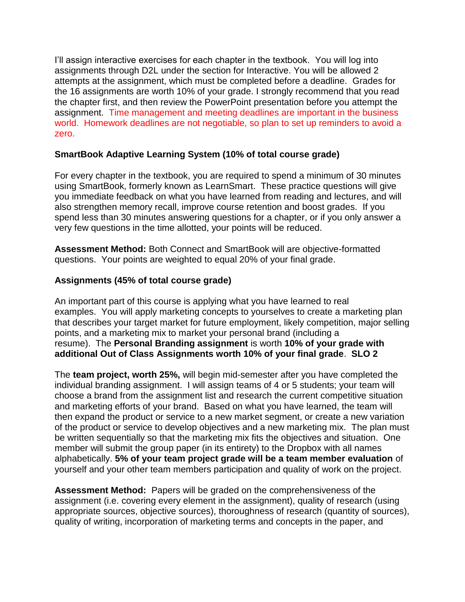I'll assign interactive exercises for each chapter in the textbook. You will log into assignments through D2L under the section for Interactive. You will be allowed 2 attempts at the assignment, which must be completed before a deadline. Grades for the 16 assignments are worth 10% of your grade. I strongly recommend that you read the chapter first, and then review the PowerPoint presentation before you attempt the assignment. Time management and meeting deadlines are important in the business world. Homework deadlines are not negotiable, so plan to set up reminders to avoid a zero.

#### **SmartBook Adaptive Learning System (10% of total course grade)**

For every chapter in the textbook, you are required to spend a minimum of 30 minutes using SmartBook, formerly known as LearnSmart. These practice questions will give you immediate feedback on what you have learned from reading and lectures, and will also strengthen memory recall, improve course retention and boost grades. If you spend less than 30 minutes answering questions for a chapter, or if you only answer a very few questions in the time allotted, your points will be reduced.

**Assessment Method:** Both Connect and SmartBook will are objective-formatted questions. Your points are weighted to equal 20% of your final grade.

#### **Assignments (45% of total course grade)**

An important part of this course is applying what you have learned to real examples. You will apply marketing concepts to yourselves to create a marketing plan that describes your target market for future employment, likely competition, major selling points, and a marketing mix to market your personal brand (including a resume). The **Personal Branding assignment** is worth **10% of your grade with additional Out of Class Assignments worth 10% of your final grade**. **SLO 2**

The **team project, worth 25%,** will begin mid-semester after you have completed the individual branding assignment. I will assign teams of 4 or 5 students; your team will choose a brand from the assignment list and research the current competitive situation and marketing efforts of your brand. Based on what you have learned, the team will then expand the product or service to a new market segment, or create a new variation of the product or service to develop objectives and a new marketing mix. The plan must be written sequentially so that the marketing mix fits the objectives and situation. One member will submit the group paper (in its entirety) to the Dropbox with all names alphabetically. **5% of your team project grade will be a team member evaluation** of yourself and your other team members participation and quality of work on the project.

**Assessment Method:** Papers will be graded on the comprehensiveness of the assignment (i.e. covering every element in the assignment), quality of research (using appropriate sources, objective sources), thoroughness of research (quantity of sources), quality of writing, incorporation of marketing terms and concepts in the paper, and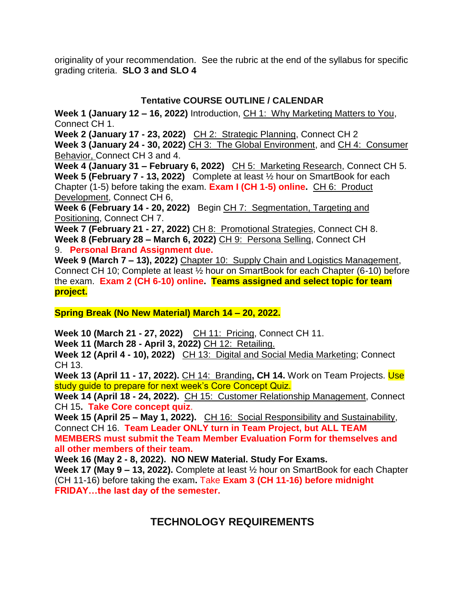originality of your recommendation. See the rubric at the end of the syllabus for specific grading criteria. **SLO 3 and SLO 4**

### **Tentative COURSE OUTLINE / CALENDAR**

**Week 1 (January 12 – 16, 2022)** Introduction, CH 1: Why Marketing Matters to You, Connect CH 1.

**Week 2 (January 17 - 23, 2022)** CH 2: Strategic Planning, Connect CH 2

**Week 3 (January 24 - 30, 2022)** CH 3: The Global Environment, and CH 4: Consumer Behavior, Connect CH 3 and 4.

**Week 4 (January 31 – February 6, 2022)** CH 5: Marketing Research, Connect CH 5. **Week 5 (February 7 - 13, 2022)** Complete at least ½ hour on SmartBook for each Chapter (1-5) before taking the exam. **Exam I (CH 1-5) online.** CH 6: Product Development, Connect CH 6,

**Week 6 (February 14 - 20, 2022)** Begin CH 7: Segmentation, Targeting and Positioning, Connect CH 7.

**Week 7 (February 21 - 27, 2022)** CH 8: Promotional Strategies, Connect CH 8. **Week 8 (February 28 – March 6, 2022)** CH 9: Persona Selling, Connect CH 9. **Personal Brand Assignment due.**

**Week 9 (March 7 – 13), 2022)** Chapter 10: Supply Chain and Logistics Management, Connect CH 10; Complete at least ½ hour on SmartBook for each Chapter (6-10) before the exam. **Exam 2 (CH 6-10) online. Teams assigned and select topic for team project.**

**Spring Break (No New Material) March 14 – 20, 2022.**

**Week 10 (March 21 - 27, 2022)** CH 11: Pricing, Connect CH 11.

**Week 11 (March 28 - April 3, 2022)** CH 12: Retailing.

**Week 12 (April 4 - 10), 2022)** CH 13: Digital and Social Media Marketing; Connect CH 13.

**Week 13 (April 11 - 17, 2022).** CH 14: Branding, CH 14. Work on Team Projects. Use study quide to prepare for next week's Core Concept Quiz.

**Week 14 (April 18 - 24, 2022).** CH 15: Customer Relationship Management, Connect CH 15**. Take Core concept quiz**.

Week 15 (April 25 - May 1, 2022). CH 16: Social Responsibility and Sustainability, Connect CH 16. **Team Leader ONLY turn in Team Project, but ALL TEAM** 

**MEMBERS must submit the Team Member Evaluation Form for themselves and all other members of their team.**

**Week 16 (May 2 - 8, 2022). NO NEW Material. Study For Exams.**

**Week 17 (May 9 – 13, 2022).** Complete at least ½ hour on SmartBook for each Chapter (CH 11-16) before taking the exam**.** Take **Exam 3 (CH 11-16) before midnight FRIDAY…the last day of the semester.**

# **TECHNOLOGY REQUIREMENTS**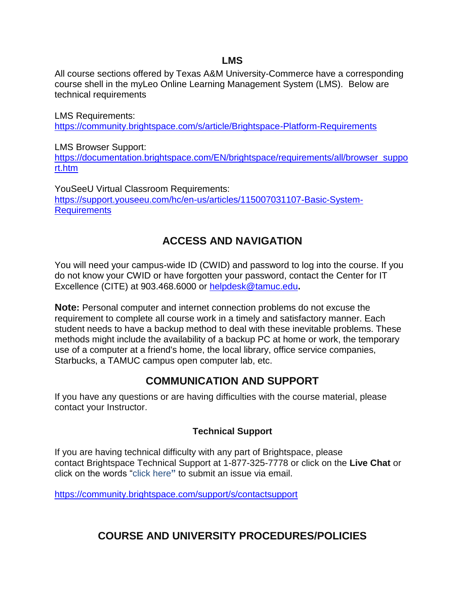#### **LMS**

All course sections offered by Texas A&M University-Commerce have a corresponding course shell in the myLeo Online Learning Management System (LMS). Below are technical requirements

LMS Requirements: <https://community.brightspace.com/s/article/Brightspace-Platform-Requirements>

LMS Browser Support: [https://documentation.brightspace.com/EN/brightspace/requirements/all/browser\\_suppo](https://documentation.brightspace.com/EN/brightspace/requirements/all/browser_support.htm) [rt.htm](https://documentation.brightspace.com/EN/brightspace/requirements/all/browser_support.htm)

YouSeeU Virtual Classroom Requirements: [https://support.youseeu.com/hc/en-us/articles/115007031107-Basic-System-](https://support.youseeu.com/hc/en-us/articles/115007031107-Basic-System-Requirements)**[Requirements](https://support.youseeu.com/hc/en-us/articles/115007031107-Basic-System-Requirements)** 

# **ACCESS AND NAVIGATION**

You will need your campus-wide ID (CWID) and password to log into the course. If you do not know your CWID or have forgotten your password, contact the Center for IT Excellence (CITE) at 903.468.6000 or [helpdesk@tamuc.edu](mailto:helpdesk@tamuc.edu)**.**

**Note:** Personal computer and internet connection problems do not excuse the requirement to complete all course work in a timely and satisfactory manner. Each student needs to have a backup method to deal with these inevitable problems. These methods might include the availability of a backup PC at home or work, the temporary use of a computer at a friend's home, the local library, office service companies, Starbucks, a TAMUC campus open computer lab, etc.

# **COMMUNICATION AND SUPPORT**

If you have any questions or are having difficulties with the course material, please contact your Instructor.

### **Technical Support**

If you are having technical difficulty with any part of Brightspace, please contact Brightspace Technical Support at 1-877-325-7778 or click on the **Live Chat** or click on the words "click here**"** to submit an issue via email.

<https://community.brightspace.com/support/s/contactsupport>

# **COURSE AND UNIVERSITY PROCEDURES/POLICIES**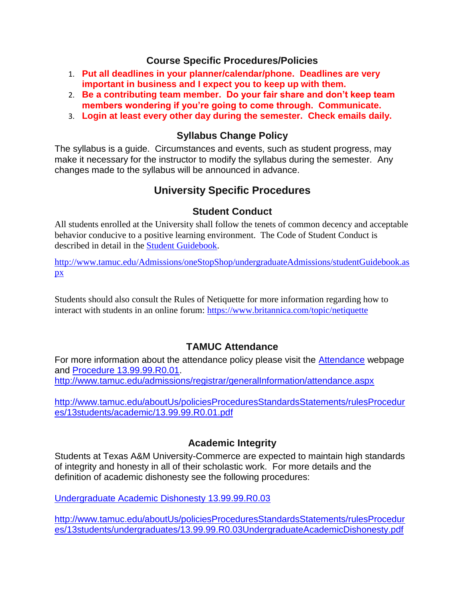### **Course Specific Procedures/Policies**

- 1. **Put all deadlines in your planner/calendar/phone. Deadlines are very important in business and I expect you to keep up with them.**
- 2. **Be a contributing team member. Do your fair share and don't keep team members wondering if you're going to come through. Communicate.**
- 3. **Login at least every other day during the semester. Check emails daily.**

### **Syllabus Change Policy**

The syllabus is a guide. Circumstances and events, such as student progress, may make it necessary for the instructor to modify the syllabus during the semester. Any changes made to the syllabus will be announced in advance.

# **University Specific Procedures**

### **Student Conduct**

All students enrolled at the University shall follow the tenets of common decency and acceptable behavior conducive to a positive learning environment. The Code of Student Conduct is described in detail in the [Student Guidebook.](http://www.tamuc.edu/Admissions/oneStopShop/undergraduateAdmissions/studentGuidebook.aspx)

[http://www.tamuc.edu/Admissions/oneStopShop/undergraduateAdmissions/studentGuidebook.as](http://www.tamuc.edu/Admissions/oneStopShop/undergraduateAdmissions/studentGuidebook.aspx) [px](http://www.tamuc.edu/Admissions/oneStopShop/undergraduateAdmissions/studentGuidebook.aspx)

Students should also consult the Rules of Netiquette for more information regarding how to interact with students in an online forum: <https://www.britannica.com/topic/netiquette>

### **TAMUC Attendance**

For more information about the attendance policy please visit the [Attendance](http://www.tamuc.edu/admissions/registrar/generalInformation/attendance.aspx) webpage and [Procedure 13.99.99.R0.01.](http://www.tamuc.edu/aboutUs/policiesProceduresStandardsStatements/rulesProcedures/13students/academic/13.99.99.R0.01.pdf)

<http://www.tamuc.edu/admissions/registrar/generalInformation/attendance.aspx>

[http://www.tamuc.edu/aboutUs/policiesProceduresStandardsStatements/rulesProcedur](http://www.tamuc.edu/aboutUs/policiesProceduresStandardsStatements/rulesProcedures/13students/academic/13.99.99.R0.01.pdf) [es/13students/academic/13.99.99.R0.01.pdf](http://www.tamuc.edu/aboutUs/policiesProceduresStandardsStatements/rulesProcedures/13students/academic/13.99.99.R0.01.pdf)

### **Academic Integrity**

Students at Texas A&M University-Commerce are expected to maintain high standards of integrity and honesty in all of their scholastic work. For more details and the definition of academic dishonesty see the following procedures:

[Undergraduate Academic Dishonesty 13.99.99.R0.03](http://www.tamuc.edu/aboutUs/policiesProceduresStandardsStatements/rulesProcedures/13students/undergraduates/13.99.99.R0.03UndergraduateAcademicDishonesty.pdf)

[http://www.tamuc.edu/aboutUs/policiesProceduresStandardsStatements/rulesProcedur](http://www.tamuc.edu/aboutUs/policiesProceduresStandardsStatements/rulesProcedures/13students/undergraduates/13.99.99.R0.03UndergraduateAcademicDishonesty.pdf) [es/13students/undergraduates/13.99.99.R0.03UndergraduateAcademicDishonesty.pdf](http://www.tamuc.edu/aboutUs/policiesProceduresStandardsStatements/rulesProcedures/13students/undergraduates/13.99.99.R0.03UndergraduateAcademicDishonesty.pdf)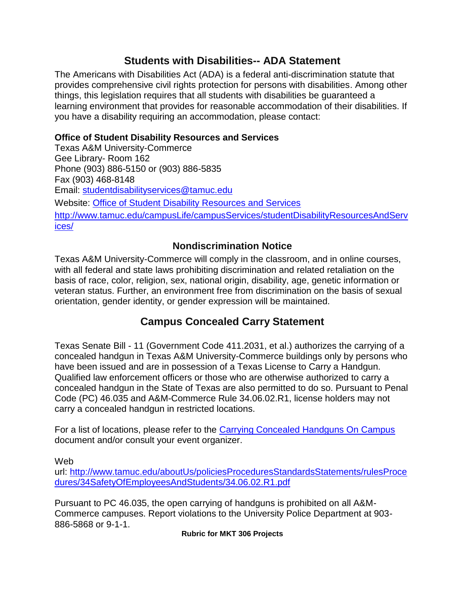## **Students with Disabilities-- ADA Statement**

The Americans with Disabilities Act (ADA) is a federal anti-discrimination statute that provides comprehensive civil rights protection for persons with disabilities. Among other things, this legislation requires that all students with disabilities be guaranteed a learning environment that provides for reasonable accommodation of their disabilities. If you have a disability requiring an accommodation, please contact:

### **Office of Student Disability Resources and Services**

Texas A&M University-Commerce Gee Library- Room 162 Phone (903) 886-5150 or (903) 886-5835 Fax (903) 468-8148 Email: [studentdisabilityservices@tamuc.edu](mailto:studentdisabilityservices@tamuc.edu) Website: [Office of Student Disability Resources and Services](http://www.tamuc.edu/campusLife/campusServices/studentDisabilityResourcesAndServices/) [http://www.tamuc.edu/campusLife/campusServices/studentDisabilityResourcesAndServ](http://www.tamuc.edu/campusLife/campusServices/studentDisabilityResourcesAndServices/) [ices/](http://www.tamuc.edu/campusLife/campusServices/studentDisabilityResourcesAndServices/)

### **Nondiscrimination Notice**

Texas A&M University-Commerce will comply in the classroom, and in online courses, with all federal and state laws prohibiting discrimination and related retaliation on the basis of race, color, religion, sex, national origin, disability, age, genetic information or veteran status. Further, an environment free from discrimination on the basis of sexual orientation, gender identity, or gender expression will be maintained.

# **Campus Concealed Carry Statement**

Texas Senate Bill - 11 (Government Code 411.2031, et al.) authorizes the carrying of a concealed handgun in Texas A&M University-Commerce buildings only by persons who have been issued and are in possession of a Texas License to Carry a Handgun. Qualified law enforcement officers or those who are otherwise authorized to carry a concealed handgun in the State of Texas are also permitted to do so. Pursuant to Penal Code (PC) 46.035 and A&M-Commerce Rule 34.06.02.R1, license holders may not carry a concealed handgun in restricted locations.

For a list of locations, please refer to the [Carrying Concealed Handguns On Campus](http://www.tamuc.edu/aboutUs/policiesProceduresStandardsStatements/rulesProcedures/34SafetyOfEmployeesAndStudents/34.06.02.R1.pdf) document and/or consult your event organizer.

Web

url: [http://www.tamuc.edu/aboutUs/policiesProceduresStandardsStatements/rulesProce](http://www.tamuc.edu/aboutUs/policiesProceduresStandardsStatements/rulesProcedures/34SafetyOfEmployeesAndStudents/34.06.02.R1.pdf) [dures/34SafetyOfEmployeesAndStudents/34.06.02.R1.pdf](http://www.tamuc.edu/aboutUs/policiesProceduresStandardsStatements/rulesProcedures/34SafetyOfEmployeesAndStudents/34.06.02.R1.pdf)

Pursuant to PC 46.035, the open carrying of handguns is prohibited on all A&M-Commerce campuses. Report violations to the University Police Department at 903- 886-5868 or 9-1-1.

**Rubric for MKT 306 Projects**